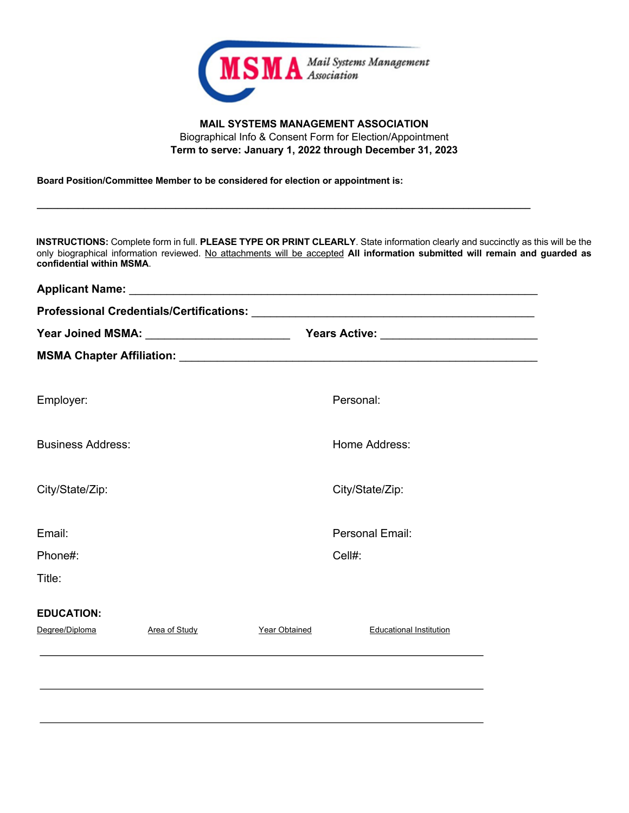

## **MAIL SYSTEMS MANAGEMENT ASSOCIATION**  Biographical Info & Consent Form for Election/Appointment **Term to serve: January 1, 2022 through December 31, 2023**

**Board Position/Committee Member to be considered for election or appointment is:**

**INSTRUCTIONS:** Complete form in full. **PLEASE TYPE OR PRINT CLEARLY**. State information clearly and succinctly as this will be the only biographical information reviewed. No attachments will be accepted **All information submitted will remain and guarded as confidential within MSMA**.

**\_\_\_\_\_\_\_\_\_\_\_\_\_\_\_\_\_\_\_\_\_\_\_\_\_\_\_\_\_\_\_\_\_\_\_\_\_\_\_\_\_\_\_\_\_\_\_\_\_\_\_\_\_\_\_\_\_\_\_\_\_\_\_\_\_\_\_\_\_\_\_\_\_\_\_\_\_\_\_\_\_\_\_\_\_\_\_\_\_\_\_\_\_\_\_\_**

| <b>Applicant Name:</b><br><u> 1980 - Andrea Brand, amerikansk politik (</u> |                                               |                 |                                |  |  |  |
|-----------------------------------------------------------------------------|-----------------------------------------------|-----------------|--------------------------------|--|--|--|
|                                                                             |                                               |                 |                                |  |  |  |
|                                                                             | Year Joined MSMA: ___________________________ |                 |                                |  |  |  |
|                                                                             |                                               |                 |                                |  |  |  |
| Employer:                                                                   |                                               | Personal:       |                                |  |  |  |
| <b>Business Address:</b>                                                    |                                               | Home Address:   |                                |  |  |  |
| City/State/Zip:                                                             |                                               | City/State/Zip: |                                |  |  |  |
| Email:                                                                      |                                               |                 | Personal Email:                |  |  |  |
| Phone#:                                                                     |                                               | Cell#:          |                                |  |  |  |
| Title:                                                                      |                                               |                 |                                |  |  |  |
| <b>EDUCATION:</b>                                                           |                                               |                 |                                |  |  |  |
| Degree/Diploma                                                              | Area of Study                                 | Year Obtained   | <b>Educational Institution</b> |  |  |  |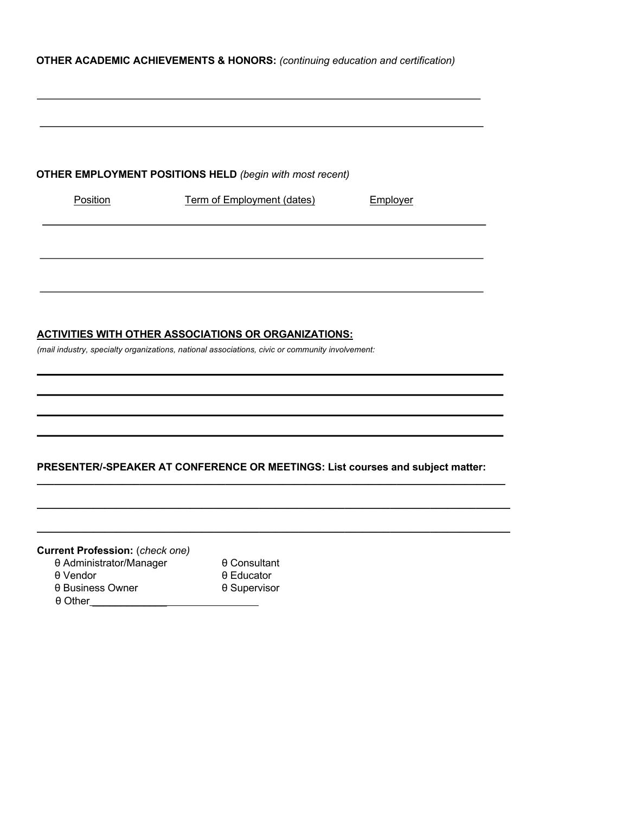## **OTHER ACADEMIC ACHIEVEMENTS & HONORS:** *(continuing education and certification)*

|                                                                               | <b>OTHER EMPLOYMENT POSITIONS HELD</b> (begin with most recent)                                 |          |
|-------------------------------------------------------------------------------|-------------------------------------------------------------------------------------------------|----------|
| Position                                                                      | <b>Term of Employment (dates)</b>                                                               | Employer |
|                                                                               |                                                                                                 |          |
|                                                                               |                                                                                                 |          |
|                                                                               |                                                                                                 |          |
|                                                                               |                                                                                                 |          |
|                                                                               |                                                                                                 |          |
|                                                                               |                                                                                                 |          |
|                                                                               |                                                                                                 |          |
|                                                                               |                                                                                                 |          |
|                                                                               | <b>ACTIVITIES WITH OTHER ASSOCIATIONS OR ORGANIZATIONS:</b>                                     |          |
|                                                                               | (mail industry, specialty organizations, national associations, civic or community involvement: |          |
|                                                                               |                                                                                                 |          |
|                                                                               |                                                                                                 |          |
|                                                                               |                                                                                                 |          |
|                                                                               |                                                                                                 |          |
|                                                                               |                                                                                                 |          |
|                                                                               |                                                                                                 |          |
|                                                                               |                                                                                                 |          |
|                                                                               |                                                                                                 |          |
|                                                                               |                                                                                                 |          |
|                                                                               |                                                                                                 |          |
|                                                                               |                                                                                                 |          |
|                                                                               | PRESENTER/-SPEAKER AT CONFERENCE OR MEETINGS: List courses and subject matter:                  |          |
|                                                                               |                                                                                                 |          |
|                                                                               |                                                                                                 |          |
|                                                                               |                                                                                                 |          |
|                                                                               |                                                                                                 |          |
|                                                                               |                                                                                                 |          |
|                                                                               |                                                                                                 |          |
|                                                                               | θ Consultant                                                                                    |          |
| <b>Current Profession:</b> (check one)<br>θ Administrator/Manager<br>θ Vendor | $\theta$ Educator                                                                               |          |

θ Other\_\_\_\_\_\_\_\_\_\_\_\_\_\_